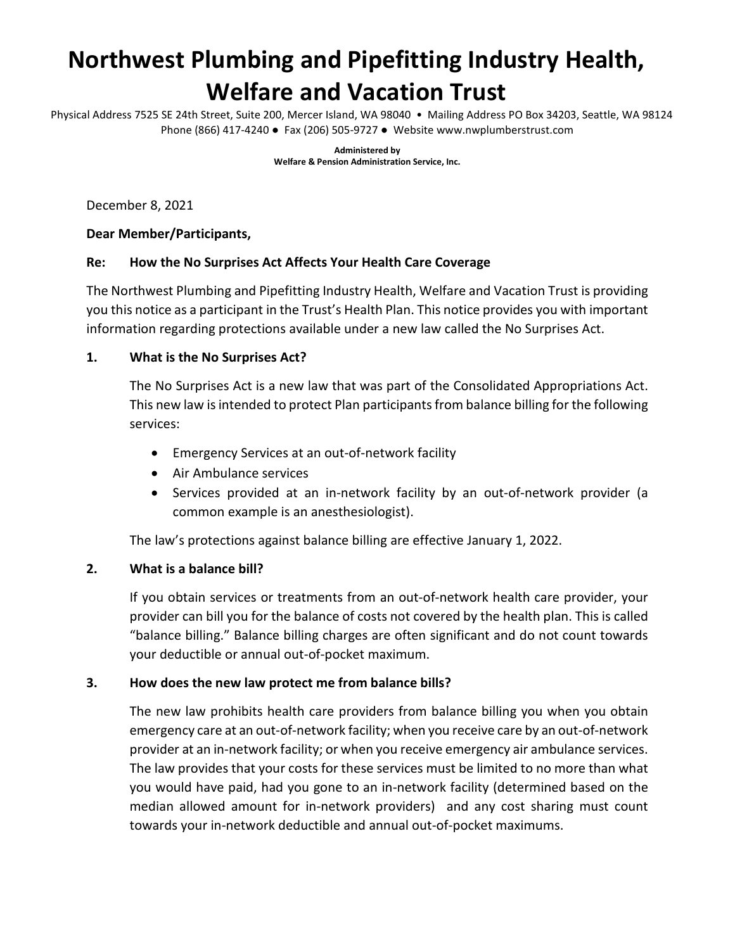# **Northwest Plumbing and Pipefitting Industry Health, Welfare and Vacation Trust**

Physical Address 7525 SE 24th Street, Suite 200, Mercer Island, WA 98040 • Mailing Address PO Box 34203, Seattle, WA 98124 Phone (866) 417-4240 ● Fax (206) 505-9727 ● Website www.nwplumberstrust.com

> **Administered by Welfare & Pension Administration Service, Inc.**

December 8, 2021

#### **Dear Member/Participants,**

#### **Re: How the No Surprises Act Affects Your Health Care Coverage**

The Northwest Plumbing and Pipefitting Industry Health, Welfare and Vacation Trust is providing you this notice as a participant in the Trust's Health Plan. This notice provides you with important information regarding protections available under a new law called the No Surprises Act.

#### **1. What is the No Surprises Act?**

The No Surprises Act is a new law that was part of the Consolidated Appropriations Act. This new law isintended to protect Plan participants from balance billing for the following services:

- Emergency Services at an out-of-network facility
- Air Ambulance services
- Services provided at an in-network facility by an out-of-network provider (a common example is an anesthesiologist).

The law's protections against balance billing are effective January 1, 2022.

#### **2. What is a balance bill?**

If you obtain services or treatments from an out-of-network health care provider, your provider can bill you for the balance of costs not covered by the health plan. This is called "balance billing." Balance billing charges are often significant and do not count towards your deductible or annual out-of-pocket maximum.

#### **3. How does the new law protect me from balance bills?**

The new law prohibits health care providers from balance billing you when you obtain emergency care at an out-of-network facility; when you receive care by an out-of-network provider at an in-network facility; or when you receive emergency air ambulance services. The law provides that your costs for these services must be limited to no more than what you would have paid, had you gone to an in-network facility (determined based on the median allowed amount for in-network providers) and any cost sharing must count towards your in-network deductible and annual out-of-pocket maximums.